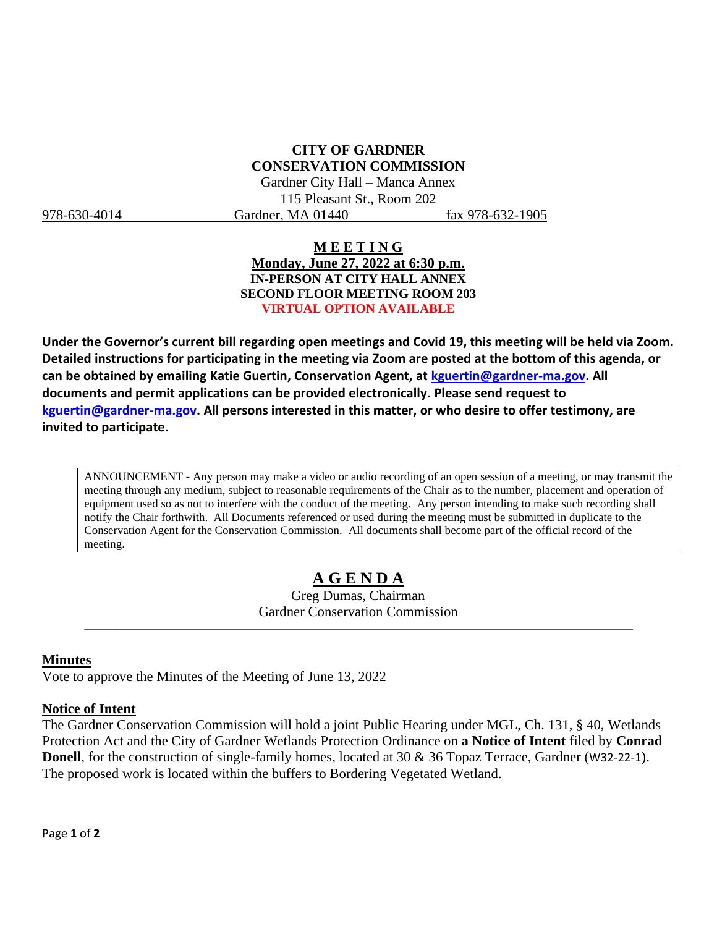## **CITY OF GARDNER CONSERVATION COMMISSION**

Gardner City Hall – Manca Annex 115 Pleasant St., Room 202 978-630-4014 Gardner, MA 01440 fax 978-632-1905

#### **M E E T I N G Monday, June 27, 2022 at 6:30 p.m. IN-PERSON AT CITY HALL ANNEX SECOND FLOOR MEETING ROOM 203 VIRTUAL OPTION AVAILABLE**

**Under the Governor's current bill regarding open meetings and Covid 19, this meeting will be held via Zoom. Detailed instructions for participating in the meeting via Zoom are posted at the bottom of this agenda, or can be obtained by emailing Katie Guertin, Conservation Agent, at [kguertin@gardner-ma.gov.](mailto:kguertin@gardner-ma.gov) All documents and permit applications can be provided electronically. Please send request to [kguertin@gardner-ma.gov.](mailto:kguertin@gardner-ma.gov) All persons interested in this matter, or who desire to offer testimony, are invited to participate.**

ANNOUNCEMENT - Any person may make a video or audio recording of an open session of a meeting, or may transmit the meeting through any medium, subject to reasonable requirements of the Chair as to the number, placement and operation of equipment used so as not to interfere with the conduct of the meeting. Any person intending to make such recording shall notify the Chair forthwith. All Documents referenced or used during the meeting must be submitted in duplicate to the Conservation Agent for the Conservation Commission. All documents shall become part of the official record of the meeting.

# **A G E N D A**

Greg Dumas, Chairman Gardner Conservation Commission

#### **Minutes**

Vote to approve the Minutes of the Meeting of June 13, 2022

#### **Notice of Intent**

The Gardner Conservation Commission will hold a joint Public Hearing under MGL, Ch. 131, § 40, Wetlands Protection Act and the City of Gardner Wetlands Protection Ordinance on **a Notice of Intent** filed by **Conrad Donell**, for the construction of single-family homes, located at 30 & 36 Topaz Terrace, Gardner (W32-22-1). The proposed work is located within the buffers to Bordering Vegetated Wetland.